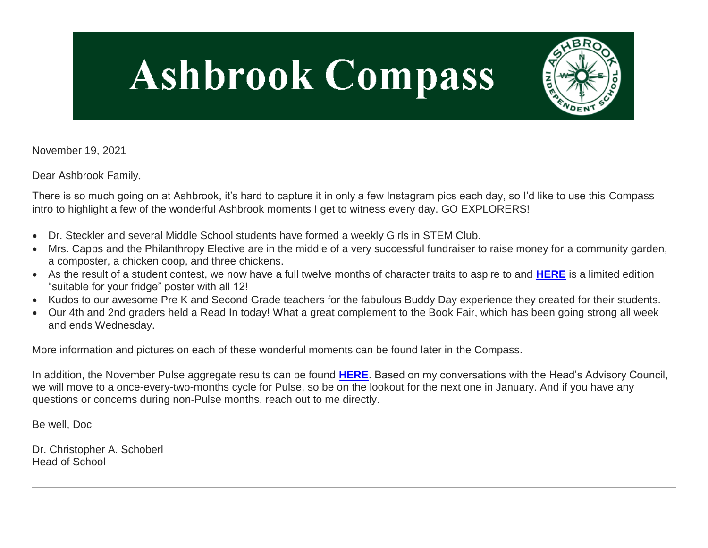# **Ashbrook Compass**



November 19, 2021

Dear Ashbrook Family,

There is so much going on at Ashbrook, it's hard to capture it in only a few Instagram pics each day, so I'd like to use this Compass intro to highlight a few of the wonderful Ashbrook moments I get to witness every day. GO EXPLORERS!

- Dr. Steckler and several Middle School students have formed a weekly Girls in STEM Club.
- Mrs. Capps and the Philanthropy Elective are in the middle of a very successful fundraiser to raise money for a community garden, a composter, a chicken coop, and three chickens.
- As the result of a student contest, we now have a full twelve months of character traits to aspire to and **[HERE](http://link.mystudentsprogress.com/ls/click?upn=VpBe6Z9t6RkEC4qAoQCerkRqVNRJCi4SE2bZPjoSvlw39V7-2BQhxsXcx-2B-2BR36MLlrrFr2-2BFFZyRhDUj-2FoB4UcVqHedi0hetIwae8y0trYXx-2FerUqqhe9cQYqLQvr6J0whUryF_1PndbFfBoQGSZbxwXHHEexw3B2F0fG-2BUmuXm6a-2BX-2Bzv-2FHT4nMjgs4-2F4cqBEfLqZE4JUev2PNMYdimc-2Fu-2B8lyMVB78m0u0hQ4yQ57dHrIJUZ0dbDR4keFkxnzGW7dTFmEG7plSBnAzmggSbGZdyxv8M5uGBaET5Wbz-2BD21k1IBB7-2FCJsaslCDCxuET8vOaBpjWos-2BsH0EiymasEAFB4riAdluK4tabDye-2BM4pAdu1d5-2BnVaeW4oQk8-2BrLbEcNDbz2vSZK8YeyxmWB8yNBKtR4xlKgNyr-2FP8B9CjL4bTLSqiyJGzhsm2CzAobCPMe1om16HVUX9Xe4cCgo2TeyDTOmy4Ksq-2B-2F03vgMHtO-2FDQmpbScBekrPtZkqu9A7jQr1ZW-2B3qh1d7v1dpCkrIughCw8QZaqBJvhsIv-2BuaQNfRrmgrQhwYLUJWK99xocV4UytXmeY)** is a limited edition "suitable for your fridge" poster with all 12!
- Kudos to our awesome Pre K and Second Grade teachers for the fabulous Buddy Day experience they created for their students.
- Our 4th and 2nd graders held a Read In today! What a great complement to the Book Fair, which has been going strong all week and ends Wednesday.

More information and pictures on each of these wonderful moments can be found later in the Compass.

In addition, the November Pulse aggregate results can be found **[HERE](http://link.mystudentsprogress.com/ls/click?upn=VpBe6Z9t6RkEC4qAoQCerkRqVNRJCi4SE2bZPjoSvlyUvJKAim15JaNW6KwVqgGQULpl5pzt2nsSEYZEluqsTq3m9k-2BZlw2LRmf8cghZitlixtz15X9K8ZIh60YA9KRLBshD_1PndbFfBoQGSZbxwXHHEexw3B2F0fG-2BUmuXm6a-2BX-2Bzv-2FHT4nMjgs4-2F4cqBEfLqZE4JUev2PNMYdimc-2Fu-2B8lyMYKvlJwnDRCJeAtr8n7eFKVHCKd5-2FB-2FZBLuSKj5vqmNPdhKtzVM5gpORdScSH-2BZ-2B91IhtkO0NEPU2T88o-2BChkTLZi89bPP-2Fq7TP7RuahZKf3f8hs2yOqIxXL-2FoxbXlCXi3CodnUb1QxCx1TbY7VJt0jB2REpcNUUsFk1snwlR8utyHDp62cuX-2FUbzoy5OQkPLl7piEVfLi0ZjYiHbudXywkhf-2B04dlqM31gePfWJGVp0HeP5e6hceUgrETz4D57U5gcNQqCwo6fORGLq3PpcBletS4fbR20-2Funt1bvAa-2BnHvWLKlZoXks1meQlDQwfrZdw-2FFG2MaeY2n1lR7VaKitMVYiWKjhWa4jxWE-2B1-2BZnKYQ)**. Based on my conversations with the Head's Advisory Council, we will move to a once-every-two-months cycle for Pulse, so be on the lookout for the next one in January. And if you have any questions or concerns during non-Pulse months, reach out to me directly.

Be well, Doc

Dr. Christopher A. Schoberl Head of School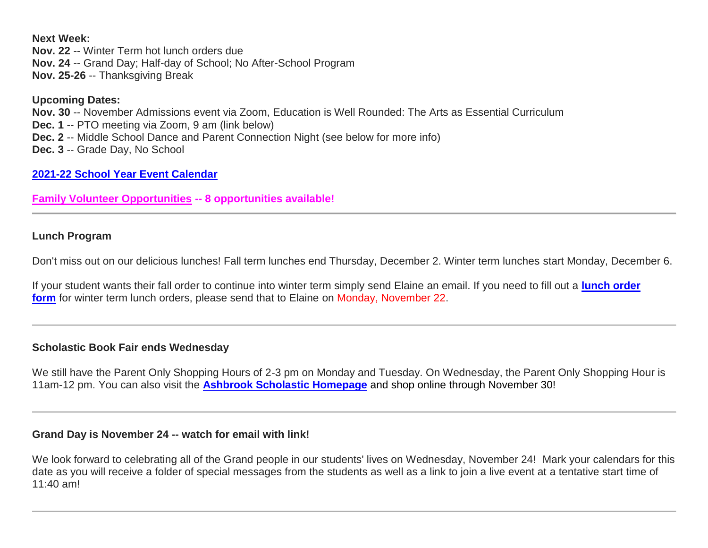**Next Week:**

**Nov. 22** -- Winter Term hot lunch orders due **Nov. 24** -- Grand Day; Half-day of School; No After-School Program **Nov. 25-26** -- Thanksgiving Break

#### **Upcoming Dates: Nov. 30** -- November Admissions event via Zoom, Education is Well Rounded: The Arts as Essential Curriculum **Dec. 1** -- PTO meeting via Zoom, 9 am (link below) **Dec. 2** -- Middle School Dance and Parent Connection Night (see below for more info) **Dec. 3** -- Grade Day, No School

## **[2021-22 School Year Event Calendar](http://link.mystudentsprogress.com/ls/click?upn=t3AI3kjK1Pyk9qPfHnOahelBVVSIlRAa3GeSLMbkINmgHr3guxrPuqfp-2Bh-2FJW4nCZ4g8Gi3XkGXC-2FKATZbsSvlLtGaxynoxi8rg7wuoRjJ9ogb5HbX999Eip-2FZE6wLdBt-2FZXHJBS6zquMLtzN9wyAf-2BwWQPV3rI3lDDknuQ1JHMBzJ8gUYT-2F7YzNEwZY9IsL01sHprQ-2FIDOi-2FxvxQxcWetx3uPiVsOO-2BTqPctwW7ytf9RkxC1x3UjTIEBtRaqxRocHrr-2BmciBR4-2BJ-2F9FRK9RIbCVijz3zpNIIcd4PIsUMddSSVNBf6Erlmv-2BHBcLMpY-2BXATDQ1ruaOReFDZmWYSBv8U-2FG-2FKOr0yEkAwqSdMzdcQ3gq4Z79RZNOTZP4nGap5-2B4nzc4nIf29OyD3NhvJHQaLkc85sE-2FfYbPaGyyk6H2FOzJRYThJmT37US6LpTrGNlh9HxVTLYe1LpjcNTBXNJsSKlp-2BAa-2BVuGTdE8v33fTt9-2BgR-2BE9tSlDPzhNHxWPZ2RZ535aLRz3SoCCiPZR3EABfh4FMKDRC4z2q-2Bvjvbtim7SOD4kDD2r5XYSDBe4a3bcI5fNds6iRAQWmj3uDnwn3-2B3tKuGNT1JKaRpJXKTgGLzWZLAnNUo4fvdQC77H83vaK-2BM8PCeLuljt-2FRAsnx0cP-2FGdRouESOyMOB5ORkT-2BH-2Bkw4hRRiiTCpe61BsZqpA-2BupI0S_1PndbFfBoQGSZbxwXHHEexw3B2F0fG-2BUmuXm6a-2BX-2Bzv-2FHT4nMjgs4-2F4cqBEfLqZE4JUev2PNMYdimc-2Fu-2B8lyMRvU2dgyH69MEoqtyS2V19s8is9Xu2Or-2F7Rp97mFB2U7-2FFycsteaAzvYJcaZaK-2BHO-2BVQNDe4RwLp-2FxT8jujtLUXFHbNnQtIVmkACSyCjldAl0uE3tY7uivKkcZEsPEg5fUe5hX9uao6-2BS7uh2nDkqs0HHjTIoiRoPZKTTsLrt-2B47qY87SSdlNwJ0ssBBt8kjGPZhbQHDIlHKpGTEfvX-2BmxMpUvyzxsYKC6TYPvayFv4aKR-2Fo8JsoEmcNkxVlSzJ5CIAgSo2VWH52KHHhzdxZa9jXBCyvHqK-2FxfLaNqV-2BJ8skeTB5HjYcy1VvMSE-2FaJdFBOKe-2FSiPQvZh34GFbgfZ5RO1oviDbNpGRTDFVZGl6p2X)**

**[Family Volunteer Opportunities](http://link.mystudentsprogress.com/ls/click?upn=VpBe6Z9t6RkEC4qAoQCerkRqVNRJCi4SE2bZPjoSvlxSlLFpfnUYhuutAutUGnBh84nj-2BJvhJlx1K1dJMDDqBY1qLZ1O0nCcHebienBZj-2BKxsXBin-2FugM50Q-2FqN8cLG3Urd1ZQzGcMWtkFleXRzacA-3D-3DOpDl_1PndbFfBoQGSZbxwXHHEexw3B2F0fG-2BUmuXm6a-2BX-2Bzv-2FHT4nMjgs4-2F4cqBEfLqZE4JUev2PNMYdimc-2Fu-2B8lyMQ2pbk6vwjWqMB5DxM2qLMul-2BL-2BzFtODrA-2BiQgJbrkaIGm8pXnL7unjQOeJ8SrALD3BHesPEZMwDasxksL1W-2BiYQDmSItxJ87oGDn261DxkL3MURezYBfb68mKXVnDTsfEL6Ao0xc3WVCCUCMPb7wb9SlCtkOWeNzvgGFNMWJ9oDB6BEkovCbF0WJ1gODGvs8pAuaPOik2wCUgFFJnHqL6LoOv-2BJ89VrpOCns5tlDxW-2BPnpHURe0cpiAtQKKFStkzG4Zph8ieBC0MTl-2B2nBexjT5OO4y2dPpUP1pMS2eRfn6-2BDE-2FG2qbzqAhhG7R2GYc3aShVXMUtCECut-2FjeUYOnUPOAgoykwmPOPe6mj2jRx61) -- 8 opportunities available!**

## **Lunch Program**

Don't miss out on our delicious lunches! Fall term lunches end Thursday, December 2. Winter term lunches start Monday, December 6.

If your student wants their fall order to continue into winter term simply send Elaine an email. If you need to fill out a **[lunch order](http://link.mystudentsprogress.com/ls/click?upn=n7jYKe39nC4PrVAw2BzaOolgU5XUleaJ61qfvNJxTW3uoi8RFzNYUfSc1qXdqajA34djZWrxIBJBxzp2whbybvqIYp3dDOkCDgKesziBdCmJJsUZtaMX3WiXCWQREZJM-2FzDuP6-2F4d-2Fc9qGzZc0U46QXnF1O8mxPi1h7JsaYcM0mK0G0MYwVr4UhE0cgRbFrnnlXM_1PndbFfBoQGSZbxwXHHEexw3B2F0fG-2BUmuXm6a-2BX-2Bzv-2FHT4nMjgs4-2F4cqBEfLqZE4JUev2PNMYdimc-2Fu-2B8lyMfV7fufuSWrjFhK8reThVQWti2hW-2B5NXcCany-2B3SessqmJFgeiHcARc-2Fkwwt1oor5k0UFSDlPghRmq-2BTsTkELGufw0oa-2FEx12TnKGrS7vXsQtWqxUNAvaCD-2B8U0rh8-2Bi0wMgesz1Y3O4GJoPeIbzqhkTZnvP67QUwbU6Y86vsw44xPSqWuOf75YG2gHaRpcFvDdTBdnYWqs7IlvG0kwvkDHvR6vjTNmacrZDBj5UCl1-2Bu4IEj2AdKE5nGO9ifTTVDnyhvUUMReIXqhxfLWpUwQUcZ2UsmfrFqUMV5IoGvlMO0UfY10oNgb2WbuY8ugKBx8WnYpZksLfB4y6SHJm8QICSQQl38eQaniqYag5WcCyC)  [form](http://link.mystudentsprogress.com/ls/click?upn=n7jYKe39nC4PrVAw2BzaOolgU5XUleaJ61qfvNJxTW3uoi8RFzNYUfSc1qXdqajA34djZWrxIBJBxzp2whbybvqIYp3dDOkCDgKesziBdCmJJsUZtaMX3WiXCWQREZJM-2FzDuP6-2F4d-2Fc9qGzZc0U46QXnF1O8mxPi1h7JsaYcM0mK0G0MYwVr4UhE0cgRbFrnnlXM_1PndbFfBoQGSZbxwXHHEexw3B2F0fG-2BUmuXm6a-2BX-2Bzv-2FHT4nMjgs4-2F4cqBEfLqZE4JUev2PNMYdimc-2Fu-2B8lyMfV7fufuSWrjFhK8reThVQWti2hW-2B5NXcCany-2B3SessqmJFgeiHcARc-2Fkwwt1oor5k0UFSDlPghRmq-2BTsTkELGufw0oa-2FEx12TnKGrS7vXsQtWqxUNAvaCD-2B8U0rh8-2Bi0wMgesz1Y3O4GJoPeIbzqhkTZnvP67QUwbU6Y86vsw44xPSqWuOf75YG2gHaRpcFvDdTBdnYWqs7IlvG0kwvkDHvR6vjTNmacrZDBj5UCl1-2Bu4IEj2AdKE5nGO9ifTTVDnyhvUUMReIXqhxfLWpUwQUcZ2UsmfrFqUMV5IoGvlMO0UfY10oNgb2WbuY8ugKBx8WnYpZksLfB4y6SHJm8QICSQQl38eQaniqYag5WcCyC)** for winter term lunch orders, please send that to Elaine on Monday, November 22.

# **Scholastic Book Fair ends Wednesday**

We still have the Parent Only Shopping Hours of 2-3 pm on Monday and Tuesday. On Wednesday, the Parent Only Shopping Hour is 11am-12 pm. You can also visit the **[Ashbrook Scholastic Homepage](http://link.mystudentsprogress.com/ls/click?upn=qkro44VJaETWQ07zA-2B-2FiEyVSGpsWQ8geVbH99hO8OwtjFmOHR3K-2Bi11CFc7cHeHDldU8A-2BWXehx3H8WaWn8vpJRmsc4hSjy9qmj-2B3C2NoiPUO2IWAOL7M2UBBl-2BO5C6nDlLI2dlxNtFj9j-2FvB3phsw-3D-3D8Uo3_1PndbFfBoQGSZbxwXHHEexw3B2F0fG-2BUmuXm6a-2BX-2Bzv-2FHT4nMjgs4-2F4cqBEfLqZE4JUev2PNMYdimc-2Fu-2B8lyMbLIxMvjFlS1ZSEMUv5XckFjx1RgCXb8g2Inr2BlTY3f1jF6lsyuTRexQ9Hzud-2BouiLH9XAhm9kuBbNKNW5-2B-2Bx97pftHuEdfTV36fngqZ1g33klSMbodmmsXBC2EvH6zRU9qTTXHO5yL6wXkldtMbofzY3VoNOC9viYzcyoXeuelH7CPFPDUJsfMZfNO4LG6LJuj7INi9uxrF09ALTxvfCLGWgIgJHiNnaxtUaMh5RV1SCSI-2BjlYgFpRS3X9nnaEg8FtLlLK-2FY2PX1eFwRIpFl4WJSms8atcu2lNgErnbCaozLlTabT86mj7yUiwXCd73aes-2BDYmRS0Sx04FFzPzwgphH4da2NnoiRQb-2FAJJCfQE)** and shop online through November 30!

# **Grand Day is November 24 -- watch for email with link!**

We look forward to celebrating all of the Grand people in our students' lives on Wednesday, November 24! Mark your calendars for this date as you will receive a folder of special messages from the students as well as a link to join a live event at a tentative start time of 11:40 am!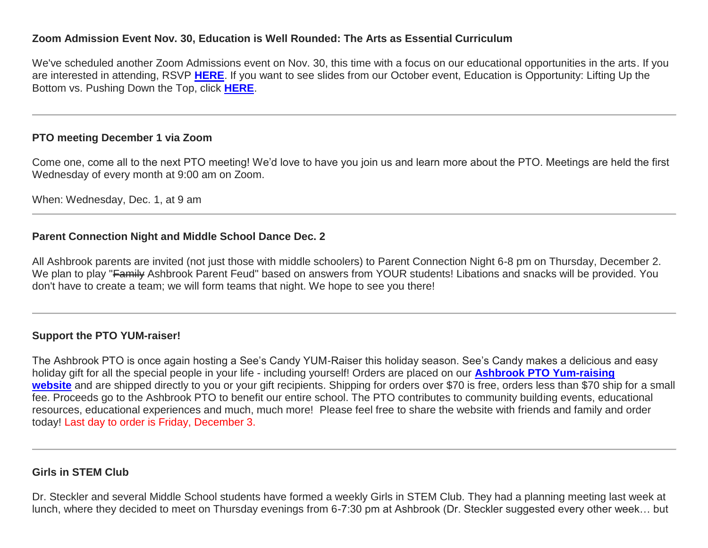## **Zoom Admission Event Nov. 30, Education is Well Rounded: The Arts as Essential Curriculum**

We've scheduled another Zoom Admissions event on Nov. 30, this time with a focus on our educational opportunities in the arts. If you are interested in attending, RSVP **[HERE](http://link.mystudentsprogress.com/ls/click?upn=VpBe6Z9t6RkEC4qAoQCeri-2FFFh7llDqKppeMq4GAyjRWQxckQw26M-2Bv6Io9sYjjzUH9Ef9Y6KUfAPlIq06evE7HZyBbxAv-2F5tGiJlU5s3MYb00QTrSExo0SiZwsPhV-2FOC5cQYOeEDhJbBpFIg-2Bhtmw-3D-3DGDYa_1PndbFfBoQGSZbxwXHHEexw3B2F0fG-2BUmuXm6a-2BX-2Bzv-2FHT4nMjgs4-2F4cqBEfLqZE4JUev2PNMYdimc-2Fu-2B8lyMY5bCw2Nmo2iCOQSeMSm-2FeakAmr4KKUi82pWnN0mvMbAXY2DV9215NEC5AcH4U1rdZoUOQJ9XSb0DVC9Oz77a5UHnMwjoe5B7SuVwuMeHgmRKv79OtWfRGpuKa1M8LmEGrGxvFXpz29enqGQy3Qj-2BtubHtedFP3t0Y9Z2f8MF-2Fzj1W8fNpkzn76ICW5MyXRZ6OmKUPYK7oaT2emozHG-2BOWIVFdNuP7JOyumAXDhFy9OfiTLEd4ET6dSGHJxrkSjHAq0YdSv-2FoOY3j4U81715xPy5CWr98oipTZEfowWzh6imvU1SjuQtt65bETRJ5pAWg6LedJ8EubmivyydkGij2E8bRW-2BsrBavL2UUW7ROYWUO)**. If you want to see slides from our October event, Education is Opportunity: Lifting Up the Bottom vs. Pushing Down the Top, click **[HERE](http://link.mystudentsprogress.com/ls/click?upn=TUHIw15RkZKA-2BkrQie-2FntaQiAIzyVKoAcjBRQlnVZKd-2BHIYHyC6WBSgp4Ve86SHv8a7wE6eUxxK5iqBVRh3xGMrMA-2BU7w5Vy-2BVkaDvO2T3TJR4bDIs7B9OglrEpEP-2BAcWdtbt-2F4Rjzf4-2FKxYgDzPIOJJFPmlP2sBGSa6BAarMI2nxIl9l9CFXhTYr7xBMJMVqA4p3-2FA7d9xTP1aSDbAttlhTBkygNZHNqe-2FWf-2BA-2FFFWag2Igtz3mkvuQ7Bar7i0CUIYxfewqFt-2FBQNg6zKea3JLW-2FDDy9TUsQD4oNxf8FMAb2KdeE3W9Ff1X2oaVcEU95sXpl9U-2BvFSXEiWkaYfdV9GXBkxs3-2FIqbMFhvkED95wDBjjEmXdp9ozIEEJiNbIkjM2zi1VWZ6JZV8FKwIH4ecYOwW4Ewg-2Fyx1gA9Y2OPjeE8DXPcISZydSxYWjA6njOzIDC-2FajoM8fGZy0UVcukbFORVzid-2B-2B4mKM8CsHCEudNbuVFhPDfoa9edsO4-2FS3Ltkk0COfRygt5D3Xvl8j7GgKVu0-2FRxJ-2F2CsuXATd-2BJ41cyDWyR-2FV-2Fu6aW73P2T3pjpYF-2BXGCrpU18xqDYqnMzwnDMsPMIsJX-2B7K3k6PEaB2fDkcDzS3HuMrBc6ZqV8GCh9lPqS5XAvcl-2BUQvnJUeENsElXaF9YhwcjAAK3mrOMA1GBOud4LQBOD-2FJcZMG748mAy3MPaDnQPxFDLIdidlUEsL3dxYPyIX1uiwXCvStZC8sKkOFON-2BFNOfE-2BuIqoRHhPHwQ-2Fi20kfuCnM-2FojkVSu6yYIWfH4jInJ-2F-2FHC-2B22kd3pM4RrLkijeznuH9tpp7-2B-2FmZshWPf-2BVg28S986JBAW6nTxGmo-2Bf3w-2F3YI-2FXknuOzDWgVI-2FsMSTQ-2BkKzcppYfhvIkko8lQeil0tN3qA0vDo7O8JNRT3FpjPhp46quv2lOYTfuWf7n3rgWabFXaMLqTRN0suu_1PndbFfBoQGSZbxwXHHEexw3B2F0fG-2BUmuXm6a-2BX-2Bzv-2FHT4nMjgs4-2F4cqBEfLqZE4JUev2PNMYdimc-2Fu-2B8lyMQDCSIi5nX272Am9vudWhE4Hl1xEb4Am54tca8mAJhlIoqlROxn6qobpNrYy3P9llDX9tvyDAHLWA4OECbO6Ew1s-2BtfL1qHqDJ4zvEFMaU42l2keVcRNLYmF7NGMYt8KdDG-2F4MfUh19m7N-2F43VmFz2zzmtHY-2B90fvB8mU-2FvLzqcrUQd37gMOILuMKF7tDC1cl61rXGihiW9ZM7bQt4eaDmyEjQ4xcKtXvnuqLNNj2JTeEDLUcMs6CYL5PHGl88OQLCnmzRwRj1Gc2s1lYiL49ga0FwyAMk9H6ud3xbywADL-2Fa-2B78fu6VL2rrlUcUmkVe67GC6BshY-2Be1F7rnsTG9YThoNGr5XyCTYY2X9lyXRuPY)**.

# **PTO meeting December 1 via Zoom**

Come one, come all to the next PTO meeting! We'd love to have you join us and learn more about the PTO. Meetings are held the first Wednesday of every month at 9:00 am on Zoom.

When: Wednesday, Dec. 1, at 9 am

## **Parent Connection Night and Middle School Dance Dec. 2**

All Ashbrook parents are invited (not just those with middle schoolers) to Parent Connection Night 6-8 pm on Thursday, December 2. We plan to play "Family Ashbrook Parent Feud" based on answers from YOUR students! Libations and snacks will be provided. You don't have to create a team; we will form teams that night. We hope to see you there!

# **Support the PTO YUM-raiser!**

The Ashbrook PTO is once again hosting a See's Candy YUM-Raiser this holiday season. See's Candy makes a delicious and easy holiday gift for all the special people in your life - including yourself! Orders are placed on our **[Ashbrook PTO Yum-raising](http://link.mystudentsprogress.com/ls/click?upn=5XDbAd9r0ovG7GZusFBG8KtxIYBVgZSf-2B8L3soVnBZB8i1itf4VPEot2aI-2FNCYP3iAJjnZ-2BpS-2Fi2tMjlcoktyJCW9A1Vzn5QKvKSkRaDdChpNdXbTK86NgQ7LWkrdpPqI7lc_1PndbFfBoQGSZbxwXHHEexw3B2F0fG-2BUmuXm6a-2BX-2Bzv-2FHT4nMjgs4-2F4cqBEfLqZE4JUev2PNMYdimc-2Fu-2B8lyMT63GBMA03o4EBBPXFAfnVOMWcBsMJ9s9S-2FlyKFQtocdxp3XeI8AnHr-2FA1dR1XeDzn6JMSM0QIDh4iY-2F1JnJrOWipP-2BYRjLucBWsn-2Bh5KUOO1mtrabCJMqBLnSW5C-2FI-2Fhsqr-2BEb699lkWt4qWtZyLWVL-2Bep1ii6q3Ct9oLWvTGD2Z1FFWZjprY3e9mrsUC849SG9Of7Vbb6DzVdT9-2FCiTlfktaYwWclhUMfcH2YOlcLVqwQkVvEDNvFa-2Fm4vK3OlSCkdQ-2FIR2G302k1LPD7W4mfTpWffSs16ZiybjRSTUqwMLZEEHYYYqxK5X1PzEnwXzBOgN8XYFjbFpHIjphC6DTWfstDCEoexS2tjC8juYRSG)**  [website](http://link.mystudentsprogress.com/ls/click?upn=5XDbAd9r0ovG7GZusFBG8KtxIYBVgZSf-2B8L3soVnBZB8i1itf4VPEot2aI-2FNCYP3iAJjnZ-2BpS-2Fi2tMjlcoktyJCW9A1Vzn5QKvKSkRaDdChpNdXbTK86NgQ7LWkrdpPqI7lc_1PndbFfBoQGSZbxwXHHEexw3B2F0fG-2BUmuXm6a-2BX-2Bzv-2FHT4nMjgs4-2F4cqBEfLqZE4JUev2PNMYdimc-2Fu-2B8lyMT63GBMA03o4EBBPXFAfnVOMWcBsMJ9s9S-2FlyKFQtocdxp3XeI8AnHr-2FA1dR1XeDzn6JMSM0QIDh4iY-2F1JnJrOWipP-2BYRjLucBWsn-2Bh5KUOO1mtrabCJMqBLnSW5C-2FI-2Fhsqr-2BEb699lkWt4qWtZyLWVL-2Bep1ii6q3Ct9oLWvTGD2Z1FFWZjprY3e9mrsUC849SG9Of7Vbb6DzVdT9-2FCiTlfktaYwWclhUMfcH2YOlcLVqwQkVvEDNvFa-2Fm4vK3OlSCkdQ-2FIR2G302k1LPD7W4mfTpWffSs16ZiybjRSTUqwMLZEEHYYYqxK5X1PzEnwXzBOgN8XYFjbFpHIjphC6DTWfstDCEoexS2tjC8juYRSG) and are shipped directly to you or your gift recipients. Shipping for orders over \$70 is free, orders less than \$70 ship for a small fee. Proceeds go to the Ashbrook PTO to benefit our entire school. The PTO contributes to community building events, educational resources, educational experiences and much, much more! Please feel free to share the website with friends and family and order today! Last day to order is Friday, December 3.

## **Girls in STEM Club**

Dr. Steckler and several Middle School students have formed a weekly Girls in STEM Club. They had a planning meeting last week at lunch, where they decided to meet on Thursday evenings from 6-7:30 pm at Ashbrook (Dr. Steckler suggested every other week… but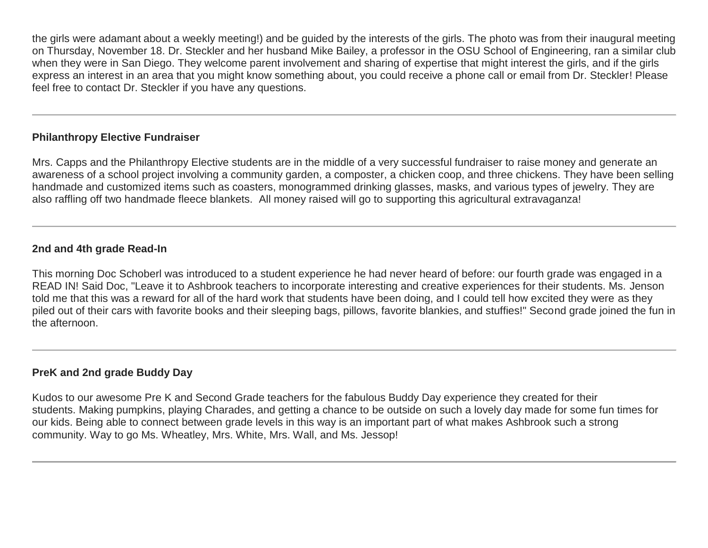the girls were adamant about a weekly meeting!) and be guided by the interests of the girls. The photo was from their inaugural meeting on Thursday, November 18. Dr. Steckler and her husband Mike Bailey, a professor in the OSU School of Engineering, ran a similar club when they were in San Diego. They welcome parent involvement and sharing of expertise that might interest the girls, and if the girls express an interest in an area that you might know something about, you could receive a phone call or email from Dr. Steckler! Please feel free to contact Dr. Steckler if you have any questions.

# **Philanthropy Elective Fundraiser**

Mrs. Capps and the Philanthropy Elective students are in the middle of a very successful fundraiser to raise money and generate an awareness of a school project involving a community garden, a composter, a chicken coop, and three chickens. They have been selling handmade and customized items such as coasters, monogrammed drinking glasses, masks, and various types of jewelry. They are also raffling off two handmade fleece blankets. All money raised will go to supporting this agricultural extravaganza!

## **2nd and 4th grade Read-In**

This morning Doc Schoberl was introduced to a student experience he had never heard of before: our fourth grade was engaged in a READ IN! Said Doc, "Leave it to Ashbrook teachers to incorporate interesting and creative experiences for their students. Ms. Jenson told me that this was a reward for all of the hard work that students have been doing, and I could tell how excited they were as they piled out of their cars with favorite books and their sleeping bags, pillows, favorite blankies, and stuffies!" Second grade joined the fun in the afternoon.

#### **PreK and 2nd grade Buddy Day**

Kudos to our awesome Pre K and Second Grade teachers for the fabulous Buddy Day experience they created for their students. Making pumpkins, playing Charades, and getting a chance to be outside on such a lovely day made for some fun times for our kids. Being able to connect between grade levels in this way is an important part of what makes Ashbrook such a strong community. Way to go Ms. Wheatley, Mrs. White, Mrs. Wall, and Ms. Jessop!